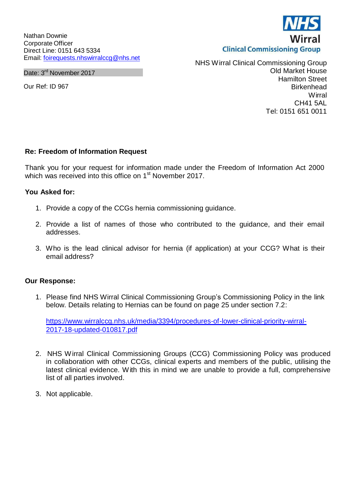Nathan Downie Corporate Officer Direct Line: 0151 643 5334 Email: [foirequests.nhswirralccg@nhs.net](mailto:foirequests.nhswirralccg@nhs.net)

Date: 3<sup>rd</sup> November 2017

Our Ref: ID 967

NHS Wirral Clinical Commissioning Group Old Market House Hamilton Street **Birkenhead Wirral** CH41 5AL Tel: 0151 651 0011

## **Re: Freedom of Information Request**

Thank you for your request for information made under the Freedom of Information Act 2000 which was received into this office on 1<sup>st</sup> November 2017.

## **You Asked for:**

- 1. Provide a copy of the CCGs hernia commissioning guidance.
- 2. Provide a list of names of those who contributed to the guidance, and their email addresses.
- 3. Who is the lead clinical advisor for hernia (if application) at your CCG? What is their email address?

## **Our Response:**

1. Please find NHS Wirral Clinical Commissioning Group's Commissioning Policy in the link below. Details relating to Hernias can be found on page 25 under section 7.2:

[https://www.wirralccg.nhs.uk/media/3394/procedures-of-lower-clinical-priority-wirral-](https://www.wirralccg.nhs.uk/media/3394/procedures-of-lower-clinical-priority-wirral-2017-18-updated-010817.pdf)[2017-18-updated-010817.pdf](https://www.wirralccg.nhs.uk/media/3394/procedures-of-lower-clinical-priority-wirral-2017-18-updated-010817.pdf)

- 2. NHS Wirral Clinical Commissioning Groups (CCG) Commissioning Policy was produced in collaboration with other CCGs, clinical experts and members of the public, utilising the latest clinical evidence. With this in mind we are unable to provide a full, comprehensive list of all parties involved.
- 3. Not applicable.